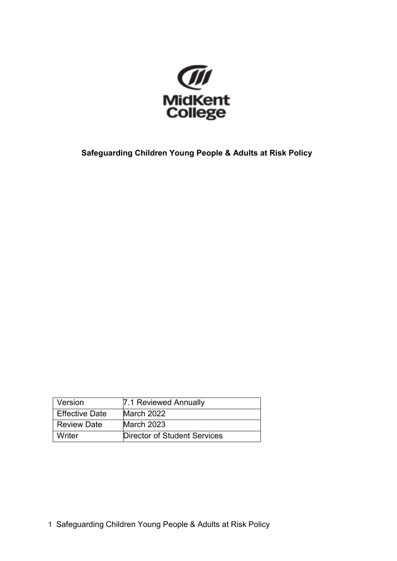

**Safeguarding Children Young People & Adults at Risk Policy**

| Version               | 7.1 Reviewed Annually        |
|-----------------------|------------------------------|
| <b>Effective Date</b> | March 2022                   |
| <b>Review Date</b>    | March 2023                   |
| Writer                | Director of Student Services |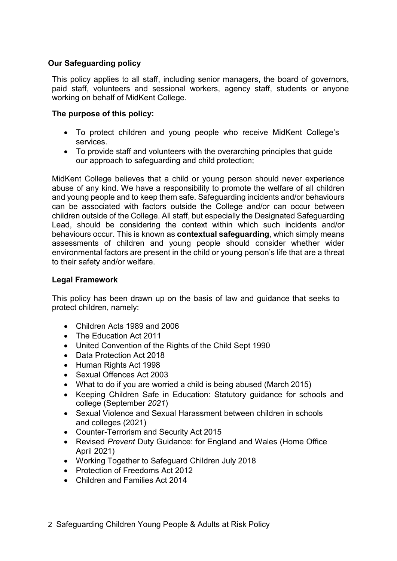# **Our Safeguarding policy**

This policy applies to all staff, including senior managers, the board of governors, paid staff, volunteers and sessional workers, agency staff, students or anyone working on behalf of MidKent College.

# **The purpose of this policy:**

- To protect children and young people who receive MidKent College's services.
- To provide staff and volunteers with the overarching principles that guide our approach to safeguarding and child protection;

MidKent College believes that a child or young person should never experience abuse of any kind. We have a responsibility to promote the welfare of all children and young people and to keep them safe. Safeguarding incidents and/or behaviours can be associated with factors outside the College and/or can occur between children outside of the College. All staff, but especially the Designated Safeguarding Lead, should be considering the context within which such incidents and/or behaviours occur. This is known as **contextual safeguarding**, which simply means assessments of children and young people should consider whether wider environmental factors are present in the child or young person's life that are a threat to their safety and/or welfare.

## **Legal Framework**

This policy has been drawn up on the basis of law and guidance that seeks to protect children, namely:

- Children Acts 1989 and 2006
- The Education Act 2011
- United Convention of the Rights of the Child Sept 1990
- Data Protection Act 2018
- Human Rights Act 1998
- Sexual Offences Act 2003
- What to do if you are worried a child is being abused (March 2015)
- Keeping Children Safe in Education: Statutory guidance for schools and college (September *2021*)
- Sexual Violence and Sexual Harassment between children in schools and colleges (2021)
- Counter-Terrorism and Security Act 2015
- Revised *Prevent* Duty Guidance: for England and Wales (Home Office April 2021)
- Working Together to Safeguard Children July 2018
- Protection of Freedoms Act 2012
- Children and Families Act 2014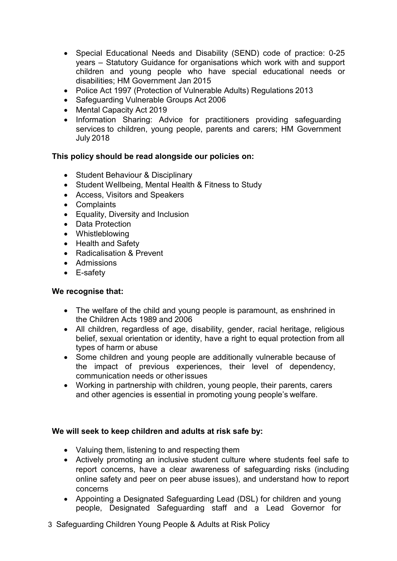- Special Educational Needs and Disability (SEND) code of practice: 0-25 years – Statutory Guidance for organisations which work with and support children and young people who have special educational needs or disabilities; HM Government Jan 2015
- Police Act 1997 (Protection of Vulnerable Adults) Regulations 2013
- Safeguarding Vulnerable Groups Act 2006
- Mental Capacity Act 2019
- Information Sharing: Advice for practitioners providing safeguarding services to children, young people, parents and carers; HM Government July 2018

### **This policy should be read alongside our policies on:**

- Student Behaviour & Disciplinary
- Student Wellbeing, Mental Health & Fitness to Study
- Access, Visitors and Speakers
- Complaints
- Equality, Diversity and Inclusion
- Data Protection
- Whistleblowing
- Health and Safety
- Radicalisation & Prevent
- Admissions
- E-safety

#### **We recognise that:**

- The welfare of the child and young people is paramount, as enshrined in the Children Acts 1989 and 2006
- All children, regardless of age, disability, gender, racial heritage, religious belief, sexual orientation or identity, have a right to equal protection from all types of harm or abuse
- Some children and young people are additionally vulnerable because of the impact of previous experiences, their level of dependency, communication needs or otherissues
- Working in partnership with children, young people, their parents, carers and other agencies is essential in promoting young people's welfare.

### **We will seek to keep children and adults at risk safe by:**

- Valuing them, listening to and respecting them
- Actively promoting an inclusive student culture where students feel safe to report concerns, have a clear awareness of safeguarding risks (including online safety and peer on peer abuse issues), and understand how to report concerns
- Appointing a Designated Safeguarding Lead (DSL) for children and young people, Designated Safeguarding staff and a Lead Governor for
- 3 Safeguarding Children Young People & Adults at Risk Policy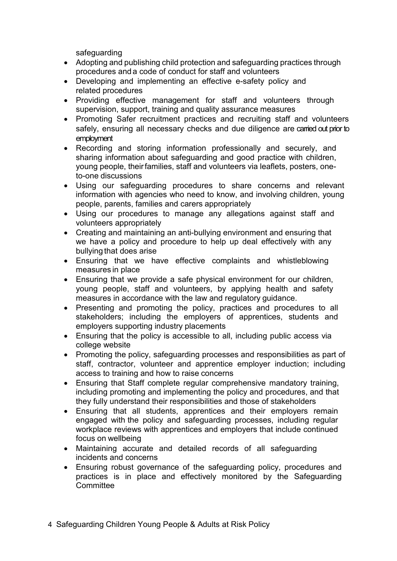safeguarding

- Adopting and publishing child protection and safeguarding practices through procedures and a code of conduct for staff and volunteers
- Developing and implementing an effective e-safety policy and related procedures
- Providing effective management for staff and volunteers through supervision, support, training and quality assurance measures
- Promoting Safer recruitment practices and recruiting staff and volunteers safely, ensuring all necessary checks and due diligence are carried out prior to employment
- Recording and storing information professionally and securely, and sharing information about safeguarding and good practice with children, young people, theirfamilies, staff and volunteers via leaflets, posters, oneto-one discussions
- Using our safeguarding procedures to share concerns and relevant information with agencies who need to know, and involving children, young people, parents, families and carers appropriately
- Using our procedures to manage any allegations against staff and volunteers appropriately
- Creating and maintaining an anti-bullying environment and ensuring that we have a policy and procedure to help up deal effectively with any bullying that does arise
- Ensuring that we have effective complaints and whistleblowing measures in place
- Ensuring that we provide a safe physical environment for our children, young people, staff and volunteers, by applying health and safety measures in accordance with the law and regulatory guidance.
- Presenting and promoting the policy, practices and procedures to all stakeholders; including the employers of apprentices, students and employers supporting industry placements
- Ensuring that the policy is accessible to all, including public access via college website
- Promoting the policy, safeguarding processes and responsibilities as part of staff, contractor, volunteer and apprentice employer induction; including access to training and how to raise concerns
- Ensuring that Staff complete regular comprehensive mandatory training, including promoting and implementing the policy and procedures, and that they fully understand their responsibilities and those of stakeholders
- Ensuring that all students, apprentices and their employers remain engaged with the policy and safeguarding processes, including regular workplace reviews with apprentices and employers that include continued focus on wellbeing
- Maintaining accurate and detailed records of all safeguarding incidents and concerns
- Ensuring robust governance of the safeguarding policy, procedures and practices is in place and effectively monitored by the Safeguarding **Committee**
- 4 Safeguarding Children Young People & Adults at Risk Policy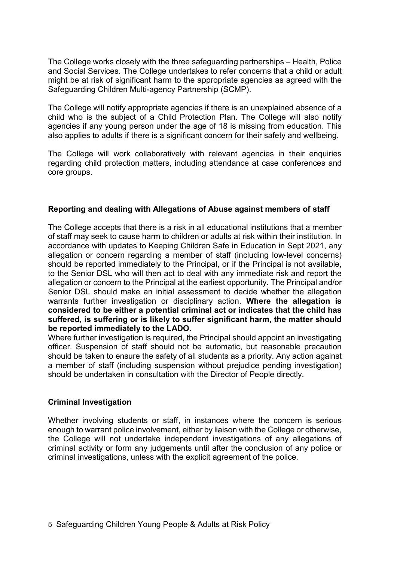The College works closely with the three safeguarding partnerships – Health, Police and Social Services. The College undertakes to refer concerns that a child or adult might be at risk of significant harm to the appropriate agencies as agreed with the Safeguarding Children Multi-agency Partnership (SCMP).

The College will notify appropriate agencies if there is an unexplained absence of a child who is the subject of a Child Protection Plan. The College will also notify agencies if any young person under the age of 18 is missing from education. This also applies to adults if there is a significant concern for their safety and wellbeing.

The College will work collaboratively with relevant agencies in their enquiries regarding child protection matters, including attendance at case conferences and core groups.

## **Reporting and dealing with Allegations of Abuse against members of staff**

The College accepts that there is a risk in all educational institutions that a member of staff may seek to cause harm to children or adults at risk within their institution. In accordance with updates to Keeping Children Safe in Education in Sept 2021, any allegation or concern regarding a member of staff (including low-level concerns) should be reported immediately to the Principal, or if the Principal is not available, to the Senior DSL who will then act to deal with any immediate risk and report the allegation or concern to the Principal at the earliest opportunity. The Principal and/or Senior DSL should make an initial assessment to decide whether the allegation warrants further investigation or disciplinary action. **Where the allegation is considered to be either a potential criminal act or indicates that the child has suffered, is suffering or is likely to suffer significant harm, the matter should be reported immediately to the LADO**.

Where further investigation is required, the Principal should appoint an investigating officer. Suspension of staff should not be automatic, but reasonable precaution should be taken to ensure the safety of all students as a priority. Any action against a member of staff (including suspension without prejudice pending investigation) should be undertaken in consultation with the Director of People directly.

### **Criminal Investigation**

Whether involving students or staff, in instances where the concern is serious enough to warrant police involvement, either by liaison with the College or otherwise, the College will not undertake independent investigations of any allegations of criminal activity or form any judgements until after the conclusion of any police or criminal investigations, unless with the explicit agreement of the police.